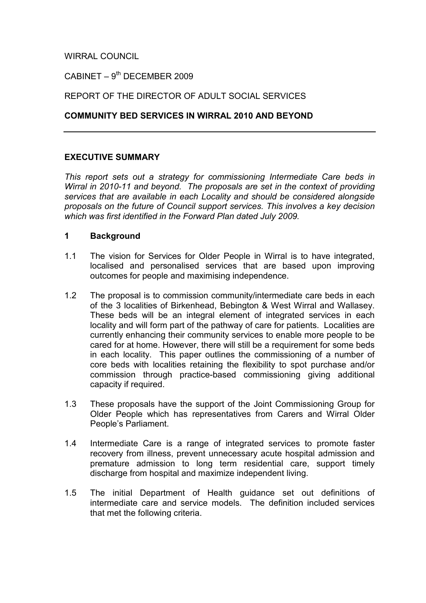# WIRRAL COUNCIL

### $C$ ABINET – 9<sup>th</sup> DECEMBER 2009

### REPORT OF THE DIRECTOR OF ADULT SOCIAL SERVICES

#### COMMUNITY BED SERVICES IN WIRRAL 2010 AND BEYOND

### EXECUTIVE SUMMARY

This report sets out a strategy for commissioning Intermediate Care beds in Wirral in 2010-11 and beyond. The proposals are set in the context of providing services that are available in each Locality and should be considered alongside proposals on the future of Council support services. This involves a key decision which was first identified in the Forward Plan dated July 2009.

#### 1 Background

- 1.1 The vision for Services for Older People in Wirral is to have integrated, localised and personalised services that are based upon improving outcomes for people and maximising independence.
- 1.2 The proposal is to commission community/intermediate care beds in each of the 3 localities of Birkenhead, Bebington & West Wirral and Wallasey. These beds will be an integral element of integrated services in each locality and will form part of the pathway of care for patients. Localities are currently enhancing their community services to enable more people to be cared for at home. However, there will still be a requirement for some beds in each locality. This paper outlines the commissioning of a number of core beds with localities retaining the flexibility to spot purchase and/or commission through practice-based commissioning giving additional capacity if required.
- 1.3 These proposals have the support of the Joint Commissioning Group for Older People which has representatives from Carers and Wirral Older People's Parliament.
- 1.4 Intermediate Care is a range of integrated services to promote faster recovery from illness, prevent unnecessary acute hospital admission and premature admission to long term residential care, support timely discharge from hospital and maximize independent living.
- 1.5 The initial Department of Health guidance set out definitions of intermediate care and service models. The definition included services that met the following criteria.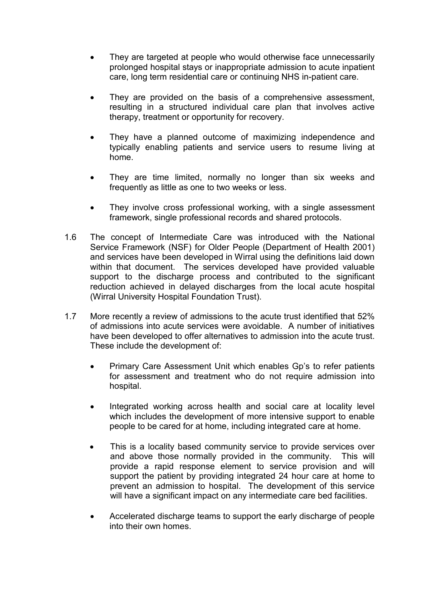- They are targeted at people who would otherwise face unnecessarily prolonged hospital stays or inappropriate admission to acute inpatient care, long term residential care or continuing NHS in-patient care.
- They are provided on the basis of a comprehensive assessment, resulting in a structured individual care plan that involves active therapy, treatment or opportunity for recovery.
- They have a planned outcome of maximizing independence and typically enabling patients and service users to resume living at home.
- They are time limited, normally no longer than six weeks and frequently as little as one to two weeks or less.
- They involve cross professional working, with a single assessment framework, single professional records and shared protocols.
- 1.6 The concept of Intermediate Care was introduced with the National Service Framework (NSF) for Older People (Department of Health 2001) and services have been developed in Wirral using the definitions laid down within that document. The services developed have provided valuable support to the discharge process and contributed to the significant reduction achieved in delayed discharges from the local acute hospital (Wirral University Hospital Foundation Trust).
- 1.7 More recently a review of admissions to the acute trust identified that 52% of admissions into acute services were avoidable. A number of initiatives have been developed to offer alternatives to admission into the acute trust. These include the development of:
	- Primary Care Assessment Unit which enables Gp's to refer patients for assessment and treatment who do not require admission into hospital.
	- Integrated working across health and social care at locality level which includes the development of more intensive support to enable people to be cared for at home, including integrated care at home.
	- This is a locality based community service to provide services over and above those normally provided in the community. This will provide a rapid response element to service provision and will support the patient by providing integrated 24 hour care at home to prevent an admission to hospital. The development of this service will have a significant impact on any intermediate care bed facilities.
	- Accelerated discharge teams to support the early discharge of people into their own homes.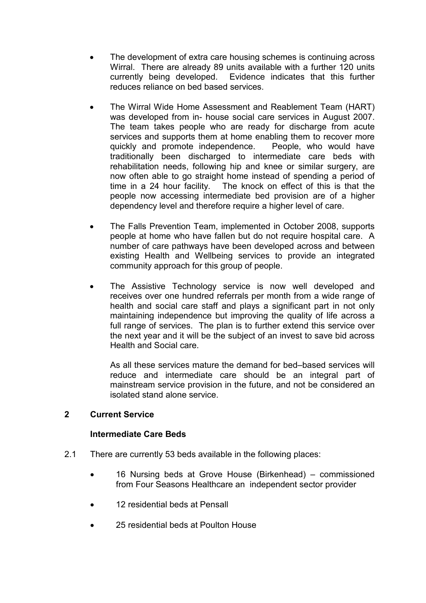- The development of extra care housing schemes is continuing across Wirral. There are already 89 units available with a further 120 units currently being developed. Evidence indicates that this further reduces reliance on bed based services.
- The Wirral Wide Home Assessment and Reablement Team (HART) was developed from in- house social care services in August 2007. The team takes people who are ready for discharge from acute services and supports them at home enabling them to recover more quickly and promote independence. People, who would have traditionally been discharged to intermediate care beds with rehabilitation needs, following hip and knee or similar surgery, are now often able to go straight home instead of spending a period of time in a 24 hour facility. The knock on effect of this is that the The knock on effect of this is that the people now accessing intermediate bed provision are of a higher dependency level and therefore require a higher level of care.
- The Falls Prevention Team, implemented in October 2008, supports people at home who have fallen but do not require hospital care. A number of care pathways have been developed across and between existing Health and Wellbeing services to provide an integrated community approach for this group of people.
- The Assistive Technology service is now well developed and receives over one hundred referrals per month from a wide range of health and social care staff and plays a significant part in not only maintaining independence but improving the quality of life across a full range of services. The plan is to further extend this service over the next year and it will be the subject of an invest to save bid across Health and Social care.

As all these services mature the demand for bed–based services will reduce and intermediate care should be an integral part of mainstream service provision in the future, and not be considered an isolated stand alone service.

### 2 Current Service

#### Intermediate Care Beds

- 2.1 There are currently 53 beds available in the following places:
	- 16 Nursing beds at Grove House (Birkenhead) commissioned from Four Seasons Healthcare an independent sector provider
	- 12 residential beds at Pensall
	- 25 residential beds at Poulton House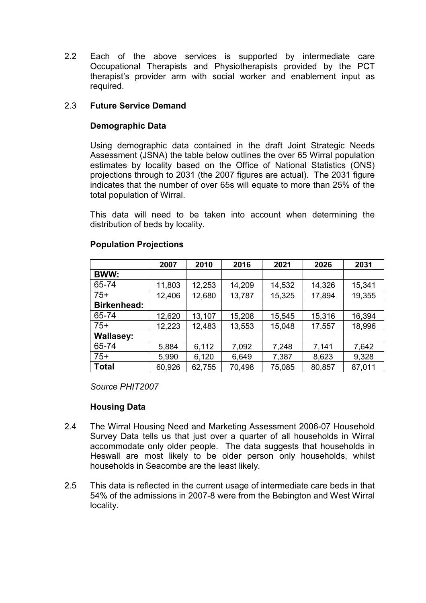2.2 Each of the above services is supported by intermediate care Occupational Therapists and Physiotherapists provided by the PCT therapist's provider arm with social worker and enablement input as required.

### 2.3 Future Service Demand

### Demographic Data

Using demographic data contained in the draft Joint Strategic Needs Assessment (JSNA) the table below outlines the over 65 Wirral population estimates by locality based on the Office of National Statistics (ONS) projections through to 2031 (the 2007 figures are actual). The 2031 figure indicates that the number of over 65s will equate to more than 25% of the total population of Wirral.

This data will need to be taken into account when determining the distribution of beds by locality.

|                    | 2007   | 2010   | 2016   | 2021   | 2026   | 2031   |
|--------------------|--------|--------|--------|--------|--------|--------|
| <b>BWW:</b>        |        |        |        |        |        |        |
| 65-74              | 11,803 | 12,253 | 14,209 | 14,532 | 14,326 | 15,341 |
| $75+$              | 12,406 | 12,680 | 13,787 | 15,325 | 17,894 | 19,355 |
| <b>Birkenhead:</b> |        |        |        |        |        |        |
| 65-74              | 12,620 | 13,107 | 15,208 | 15,545 | 15,316 | 16,394 |
| $75+$              | 12,223 | 12,483 | 13,553 | 15,048 | 17,557 | 18,996 |
| <b>Wallasey:</b>   |        |        |        |        |        |        |
| 65-74              | 5,884  | 6,112  | 7,092  | 7,248  | 7,141  | 7,642  |
| $75+$              | 5,990  | 6,120  | 6,649  | 7,387  | 8,623  | 9,328  |
| <b>Total</b>       | 60,926 | 62,755 | 70,498 | 75,085 | 80,857 | 87,011 |

### Population Projections

Source PHIT2007

### Housing Data

- 2.4 The Wirral Housing Need and Marketing Assessment 2006-07 Household Survey Data tells us that just over a quarter of all households in Wirral accommodate only older people. The data suggests that households in Heswall are most likely to be older person only households, whilst households in Seacombe are the least likely.
- 2.5 This data is reflected in the current usage of intermediate care beds in that 54% of the admissions in 2007-8 were from the Bebington and West Wirral locality.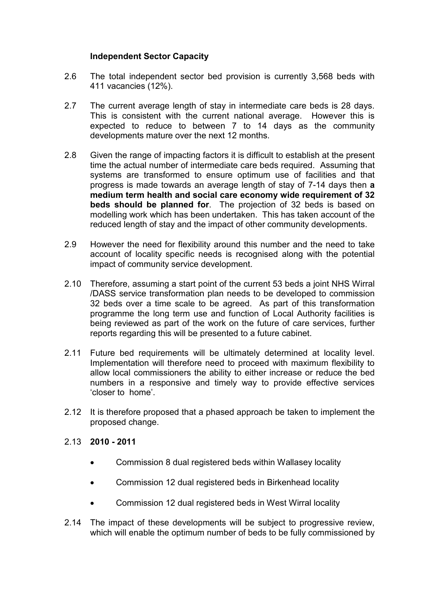### Independent Sector Capacity

- 2.6 The total independent sector bed provision is currently 3,568 beds with 411 vacancies (12%).
- 2.7 The current average length of stay in intermediate care beds is 28 days. This is consistent with the current national average. However this is expected to reduce to between 7 to 14 days as the community developments mature over the next 12 months.
- 2.8 Given the range of impacting factors it is difficult to establish at the present time the actual number of intermediate care beds required. Assuming that systems are transformed to ensure optimum use of facilities and that progress is made towards an average length of stay of 7-14 days then a medium term health and social care economy wide requirement of 32 beds should be planned for. The projection of 32 beds is based on modelling work which has been undertaken. This has taken account of the reduced length of stay and the impact of other community developments.
- 2.9 However the need for flexibility around this number and the need to take account of locality specific needs is recognised along with the potential impact of community service development.
- 2.10 Therefore, assuming a start point of the current 53 beds a joint NHS Wirral /DASS service transformation plan needs to be developed to commission 32 beds over a time scale to be agreed. As part of this transformation programme the long term use and function of Local Authority facilities is being reviewed as part of the work on the future of care services, further reports regarding this will be presented to a future cabinet.
- 2.11 Future bed requirements will be ultimately determined at locality level. Implementation will therefore need to proceed with maximum flexibility to allow local commissioners the ability to either increase or reduce the bed numbers in a responsive and timely way to provide effective services 'closer to home'.
- 2.12 It is therefore proposed that a phased approach be taken to implement the proposed change.
- 2.13 2010 2011
	- Commission 8 dual registered beds within Wallasey locality
	- Commission 12 dual registered beds in Birkenhead locality
	- Commission 12 dual registered beds in West Wirral locality
- 2.14 The impact of these developments will be subject to progressive review, which will enable the optimum number of beds to be fully commissioned by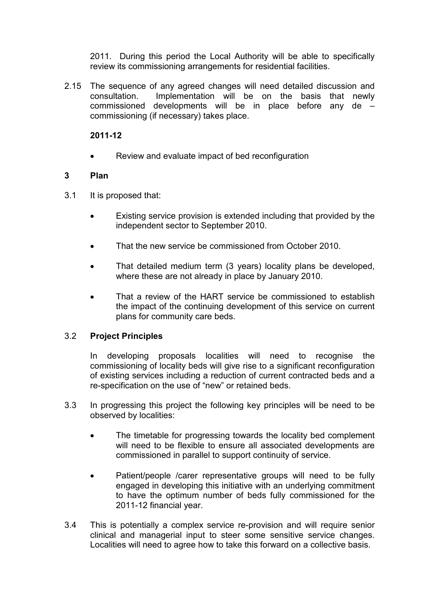2011. During this period the Local Authority will be able to specifically review its commissioning arrangements for residential facilities.

2.15 The sequence of any agreed changes will need detailed discussion and consultation. Implementation will be on the basis that newly commissioned developments will be in place before any de – commissioning (if necessary) takes place.

2011-12

• Review and evaluate impact of bed reconfiguration

### 3 Plan

- 3.1 It is proposed that:
	- Existing service provision is extended including that provided by the independent sector to September 2010.
	- That the new service be commissioned from October 2010.
	- That detailed medium term (3 years) locality plans be developed, where these are not already in place by January 2010.
	- That a review of the HART service be commissioned to establish the impact of the continuing development of this service on current plans for community care beds.

### 3.2 Project Principles

In developing proposals localities will need to recognise the commissioning of locality beds will give rise to a significant reconfiguration of existing services including a reduction of current contracted beds and a re-specification on the use of "new" or retained beds.

- 3.3 In progressing this project the following key principles will be need to be observed by localities:
	- The timetable for progressing towards the locality bed complement will need to be flexible to ensure all associated developments are commissioned in parallel to support continuity of service.
	- Patient/people /carer representative groups will need to be fully engaged in developing this initiative with an underlying commitment to have the optimum number of beds fully commissioned for the 2011-12 financial year.
- 3.4 This is potentially a complex service re-provision and will require senior clinical and managerial input to steer some sensitive service changes. Localities will need to agree how to take this forward on a collective basis.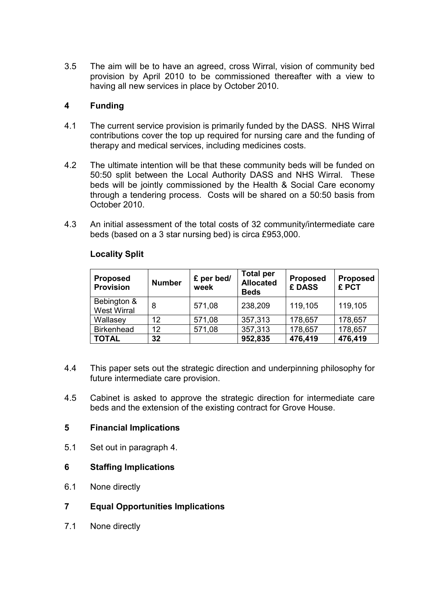3.5 The aim will be to have an agreed, cross Wirral, vision of community bed provision by April 2010 to be commissioned thereafter with a view to having all new services in place by October 2010.

### 4 Funding

- 4.1 The current service provision is primarily funded by the DASS. NHS Wirral contributions cover the top up required for nursing care and the funding of therapy and medical services, including medicines costs.
- 4.2 The ultimate intention will be that these community beds will be funded on 50:50 split between the Local Authority DASS and NHS Wirral. These beds will be jointly commissioned by the Health & Social Care economy through a tendering process. Costs will be shared on a 50:50 basis from October 2010.
- 4.3 An initial assessment of the total costs of 32 community/intermediate care beds (based on a 3 star nursing bed) is circa £953,000.

| <b>Proposed</b><br><b>Provision</b> | <b>Number</b> | £ per bed/<br>week | <b>Total per</b><br><b>Allocated</b><br><b>Beds</b> | <b>Proposed</b><br>£ DASS | <b>Proposed</b><br>£ PCT |
|-------------------------------------|---------------|--------------------|-----------------------------------------------------|---------------------------|--------------------------|
| Bebington &<br><b>West Wirral</b>   | 8             | 571,08             | 238,209                                             | 119,105                   | 119,105                  |
| Wallasey                            | 12            | 571,08             | 357,313                                             | 178,657                   | 178,657                  |
| <b>Birkenhead</b>                   | 12            | 571,08             | 357,313                                             | 178,657                   | 178,657                  |
| <b>TOTAL</b>                        | 32            |                    | 952,835                                             | 476,419                   | 476,419                  |

### Locality Split

- 4.4 This paper sets out the strategic direction and underpinning philosophy for future intermediate care provision.
- 4.5 Cabinet is asked to approve the strategic direction for intermediate care beds and the extension of the existing contract for Grove House.

### 5 Financial Implications

5.1 Set out in paragraph 4.

### 6 Staffing Implications

- 6.1 None directly
- 7 Equal Opportunities Implications
- 7.1 None directly